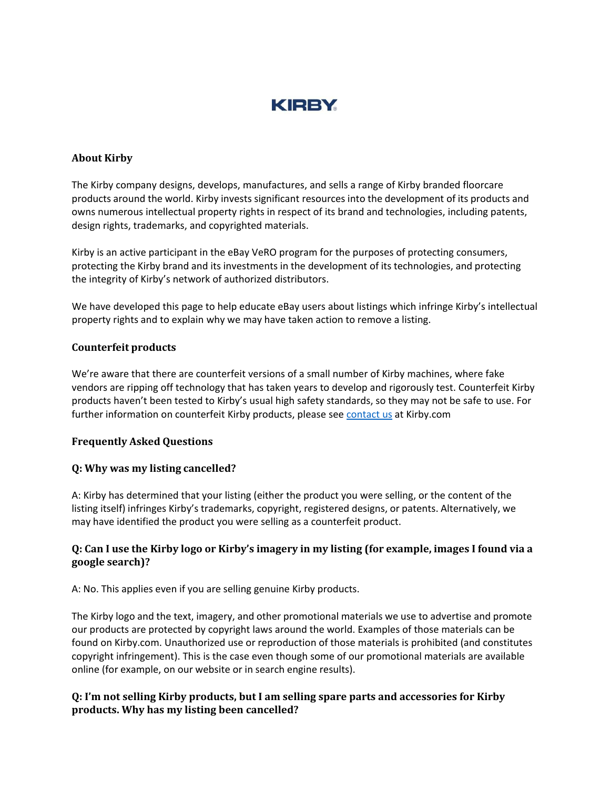

### **About Kirby**

The Kirby company designs, develops, manufactures, and sells a range of Kirby branded floorcare products around the world. Kirby invests significant resources into the development of its products and owns numerous intellectual property rights in respect of its brand and technologies, including patents, design rights, trademarks, and copyrighted materials.

Kirby is an active participant in the eBay VeRO program for the purposes of protecting consumers, protecting the Kirby brand and its investments in the development of its technologies, and protecting the integrity of Kirby's network of authorized distributors.

We have developed this page to help educate eBay users about listings which infringe Kirby's intellectual property rights and to explain why we may have taken action to remove a listing.

### **Counterfeit products**

We're aware that there are counterfeit versions of a small number of Kirby machines, where fake vendors are ripping off technology that has taken years to develop and rigorously test. Counterfeit Kirby products haven't been tested to Kirby's usual high safety standards, so they may not be safe to use. For further information on counterfeit Kirby products, please see [contact us](https://www.kirby.com/contact-kirby/) at Kirby.com

### **Frequently Asked Questions**

## **Q: Why was my listing cancelled?**

A: Kirby has determined that your listing (either the product you were selling, or the content of the listing itself) infringes Kirby's trademarks, copyright, registered designs, or patents. Alternatively, we may have identified the product you were selling as a counterfeit product.

## **Q: Can I use the Kirby logo or Kirby's imagery in my listing (for example, images I found via a google search)?**

A: No. This applies even if you are selling genuine Kirby products.

The Kirby logo and the text, imagery, and other promotional materials we use to advertise and promote our products are protected by copyright laws around the world. Examples of those materials can be found on Kirby.com. Unauthorized use or reproduction of those materials is prohibited (and constitutes copyright infringement). This is the case even though some of our promotional materials are available online (for example, on our website or in search engine results).

## **Q: I'm not selling Kirby products, but I am selling spare parts and accessories for Kirby products. Why has my listing been cancelled?**